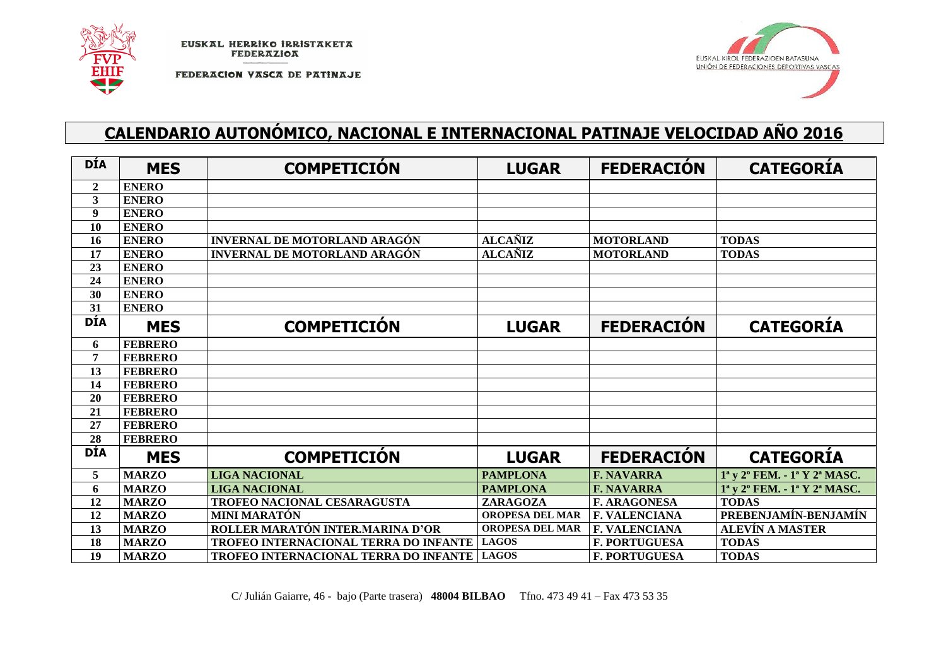

FEDERACION VASCA DE PATINAJE



## **CALENDARIO AUTONÓMICO, NACIONAL E INTERNACIONAL PATINAJE VELOCIDAD AÑO 2016**

| <b>DÍA</b>     | <b>MES</b>     | <b>COMPETICIÓN</b>                    | <b>LUGAR</b>           | <b>FEDERACIÓN</b>    | <b>CATEGORIA</b>                                                             |
|----------------|----------------|---------------------------------------|------------------------|----------------------|------------------------------------------------------------------------------|
| $\overline{2}$ | <b>ENERO</b>   |                                       |                        |                      |                                                                              |
| 3              | <b>ENERO</b>   |                                       |                        |                      |                                                                              |
| 9              | <b>ENERO</b>   |                                       |                        |                      |                                                                              |
| 10             | <b>ENERO</b>   |                                       |                        |                      |                                                                              |
| 16             | <b>ENERO</b>   | <b>INVERNAL DE MOTORLAND ARAGÓN</b>   | <b>ALCAÑIZ</b>         | <b>MOTORLAND</b>     | <b>TODAS</b>                                                                 |
| 17             | <b>ENERO</b>   | <b>INVERNAL DE MOTORLAND ARAGÓN</b>   | <b>ALCAÑIZ</b>         | <b>MOTORLAND</b>     | <b>TODAS</b>                                                                 |
| 23             | <b>ENERO</b>   |                                       |                        |                      |                                                                              |
| 24             | <b>ENERO</b>   |                                       |                        |                      |                                                                              |
| 30             | <b>ENERO</b>   |                                       |                        |                      |                                                                              |
| 31             | <b>ENERO</b>   |                                       |                        |                      |                                                                              |
| <b>DÍA</b>     | <b>MES</b>     | <b>COMPETICIÓN</b>                    | <b>LUGAR</b>           | <b>FEDERACIÓN</b>    | <b>CATEGORIA</b>                                                             |
| 6              | <b>FEBRERO</b> |                                       |                        |                      |                                                                              |
| 7              | <b>FEBRERO</b> |                                       |                        |                      |                                                                              |
| 13             | <b>FEBRERO</b> |                                       |                        |                      |                                                                              |
| 14             | <b>FEBRERO</b> |                                       |                        |                      |                                                                              |
| <b>20</b>      | <b>FEBRERO</b> |                                       |                        |                      |                                                                              |
| 21             | <b>FEBRERO</b> |                                       |                        |                      |                                                                              |
| 27             | <b>FEBRERO</b> |                                       |                        |                      |                                                                              |
| 28             | <b>FEBRERO</b> |                                       |                        |                      |                                                                              |
| <b>DÍA</b>     | <b>MES</b>     | <b>COMPETICIÓN</b>                    | <b>LUGAR</b>           | <b>FEDERACIÓN</b>    | <b>CATEGORIA</b>                                                             |
| 5              | <b>MARZO</b>   | <b>LIGA NACIONAL</b>                  | <b>PAMPLONA</b>        | <b>F. NAVARRA</b>    | 1 <sup>a</sup> y 2 <sup>o</sup> FEM. - 1 <sup>a</sup> Y 2 <sup>a</sup> MASC. |
| 6              | <b>MARZO</b>   | <b>LIGA NACIONAL</b>                  | <b>PAMPLONA</b>        | <b>F. NAVARRA</b>    | 1 <sup>a</sup> y 2 <sup>o</sup> FEM. - 1 <sup>a</sup> Y 2 <sup>a</sup> MASC. |
| 12             | <b>MARZO</b>   | TROFEO NACIONAL CESARAGUSTA           | ZARAGOZA               | <b>F. ARAGONESA</b>  | <b>TODAS</b>                                                                 |
| 12             | <b>MARZO</b>   | <b>MINI MARATÓN</b>                   | <b>OROPESA DEL MAR</b> | <b>F. VALENCIANA</b> | PREBENJAMÍN-BENJAMÍN                                                         |
| 13             | <b>MARZO</b>   | ROLLER MARATÓN INTER.MARINA D'OR      | <b>OROPESA DEL MAR</b> | <b>F. VALENCIANA</b> | <b>ALEVÍN A MASTER</b>                                                       |
| 18             | <b>MARZO</b>   | TROFEO INTERNACIONAL TERRA DO INFANTE | <b>LAGOS</b>           | <b>F. PORTUGUESA</b> | <b>TODAS</b>                                                                 |
| 19             | <b>MARZO</b>   | TROFEO INTERNACIONAL TERRA DO INFANTE | <b>LAGOS</b>           | <b>F. PORTUGUESA</b> | <b>TODAS</b>                                                                 |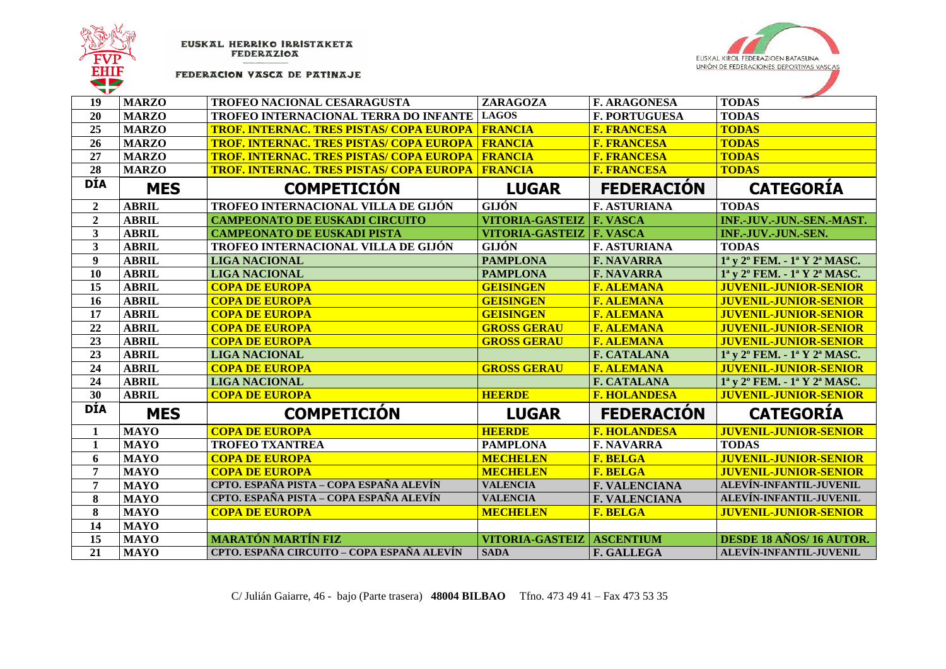



## FEDERACION VASCA DE PATINAJE

| 19               | <b>MARZO</b> | TROFEO NACIONAL CESARAGUSTA                               | ZARAGOZA               | <b>F. ARAGONESA</b>  | <b>TODAS</b>                                                                 |
|------------------|--------------|-----------------------------------------------------------|------------------------|----------------------|------------------------------------------------------------------------------|
| 20               | <b>MARZO</b> | TROFEO INTERNACIONAL TERRA DO INFANTE LAGOS               |                        | <b>F. PORTUGUESA</b> | <b>TODAS</b>                                                                 |
| 25               | <b>MARZO</b> | <u>TROF. INTERNAC. TRES PISTAS/ COPA EUROPA   FRANCIA</u> |                        | <b>F. FRANCESA</b>   | <b>TODAS</b>                                                                 |
| 26               | <b>MARZO</b> | <mark>TROF. INTERNAC. TRES PISTAS/ COPA EUROPA</mark>     | <b>FRANCIA</b>         | <b>F. FRANCESA</b>   | <b>TODAS</b>                                                                 |
| 27               | <b>MARZO</b> | TROF. INTERNAC. TRES PISTAS/ COPA EUROPA                  | <b>FRANCIA</b>         | <b>F. FRANCESA</b>   | <b>TODAS</b>                                                                 |
| 28               | <b>MARZO</b> | <b>TROF. INTERNAC. TRES PISTAS/ COPA EUROPA</b>           | <b>FRANCIA</b>         | <b>F. FRANCESA</b>   | <b>TODAS</b>                                                                 |
| <b>DÍA</b>       | <b>MES</b>   | <b>COMPETICION</b>                                        | <b>LUGAR</b>           | <b>FEDERACIÓN</b>    | <b>CATEGORIA</b>                                                             |
| $\boldsymbol{2}$ | <b>ABRIL</b> | TROFEO INTERNACIONAL VILLA DE GIJÓN                       | GIJÓN                  | <b>F. ASTURIANA</b>  | <b>TODAS</b>                                                                 |
| $\overline{2}$   | <b>ABRIL</b> | <b>CAMPEONATO DE EUSKADI CIRCUITO</b>                     | <b>VITORIA-GASTEIZ</b> | <b>F. VASCA</b>      | INF.-JUV.-JUN.-SEN.-MAST.                                                    |
| 3                | <b>ABRIL</b> | <b>CAMPEONATO DE EUSKADI PISTA</b>                        | <b>VITORIA-GASTEIZ</b> | F. VASCA             | INF.-JUV.-JUN.-SEN.                                                          |
| $\mathbf{3}$     | <b>ABRIL</b> | TROFEO INTERNACIONAL VILLA DE GIJÓN                       | GIJÓN                  | <b>F. ASTURIANA</b>  | <b>TODAS</b>                                                                 |
| 9 <sup>1</sup>   | <b>ABRIL</b> | <b>LIGA NACIONAL</b>                                      | <b>PAMPLONA</b>        | <b>F. NAVARRA</b>    | 1 <sup>a</sup> y 2 <sup>o</sup> FEM. - 1 <sup>a</sup> Y 2 <sup>a</sup> MASC. |
| 10               | <b>ABRIL</b> | <b>LIGA NACIONAL</b>                                      | <b>PAMPLONA</b>        | <b>F. NAVARRA</b>    | 1 <sup>a</sup> y 2 <sup>o</sup> FEM. - 1 <sup>a</sup> Y 2 <sup>a</sup> MASC. |
| 15               | <b>ABRIL</b> | <b>COPA DE EUROPA</b>                                     | <b>GEISINGEN</b>       | <b>F. ALEMANA</b>    | <b>JUVENIL-JUNIOR-SENIOR</b>                                                 |
| 16               | <b>ABRIL</b> | <b>COPA DE EUROPA</b>                                     | <b>GEISINGEN</b>       | <b>F. ALEMANA</b>    | <b>JUVENIL-JUNIOR-SENIOR</b>                                                 |
| 17               | <b>ABRIL</b> | <b>COPA DE EUROPA</b>                                     | <b>GEISINGEN</b>       | <b>F. ALEMANA</b>    | <b>JUVENIL-JUNIOR-SENIOR</b>                                                 |
| 22               | <b>ABRIL</b> | <b>COPA DE EUROPA</b>                                     | <b>GROSS GERAU</b>     | <b>F. ALEMANA</b>    | <b>JUVENIL-JUNIOR-SENIOR</b>                                                 |
| 23               | <b>ABRIL</b> | <b>COPA DE EUROPA</b>                                     | <b>GROSS GERAU</b>     | <b>F. ALEMANA</b>    | <b>JUVENIL-JUNIOR-SENIOR</b>                                                 |
| 23               | <b>ABRIL</b> | <b>LIGA NACIONAL</b>                                      |                        | <b>F. CATALANA</b>   | $1^a$ y $2^o$ FEM. $-1^a$ Y $2^a$ MASC.                                      |
| 24               | <b>ABRIL</b> | <b>COPA DE EUROPA</b>                                     | <b>GROSS GERAU</b>     | <b>F. ALEMANA</b>    | <b>JUVENIL-JUNIOR-SENIOR</b>                                                 |
| 24               | <b>ABRIL</b> | <b>LIGA NACIONAL</b>                                      |                        | <b>F. CATALANA</b>   | 1 <sup>a</sup> y 2 <sup>o</sup> FEM. - 1 <sup>a</sup> Y 2 <sup>a</sup> MASC. |
| 30               | <b>ABRIL</b> | <b>COPA DE EUROPA</b>                                     | <b>HEERDE</b>          | <b>F. HOLANDESA</b>  | <b>JUVENIL-JUNIOR-SENIOR</b>                                                 |
| <b>DÍA</b>       | <b>MES</b>   | <b>COMPETICIÓN</b>                                        | <b>LUGAR</b>           | <b>FEDERACIÓN</b>    | <b>CATEGORIA</b>                                                             |
| 1                | <b>MAYO</b>  | <b>COPA DE EUROPA</b>                                     | <b>HEERDE</b>          | <b>F. HOLANDESA</b>  | <b>JUVENIL-JUNIOR-SENIOR</b>                                                 |
| 1                | <b>MAYO</b>  | <b>TROFEO TXANTREA</b>                                    | <b>PAMPLONA</b>        | <b>F. NAVARRA</b>    | <b>TODAS</b>                                                                 |
| 6                | <b>MAYO</b>  | <b>COPA DE EUROPA</b>                                     | <b>MECHELEN</b>        | <b>F. BELGA</b>      | <b>JUVENIL-JUNIOR-SENIOR</b>                                                 |
| $\overline{7}$   | <b>MAYO</b>  | <b>COPA DE EUROPA</b>                                     | <b>MECHELEN</b>        | <b>F. BELGA</b>      | <b>JUVENIL-JUNIOR-SENIOR</b>                                                 |
| $\overline{7}$   | <b>MAYO</b>  | CPTO. ESPAÑA PISTA - COPA ESPAÑA ALEVÍN                   | <b>VALENCIA</b>        | <b>F. VALENCIANA</b> | ALEVÍN-INFANTIL-JUVENIL                                                      |
| 8                | <b>MAYO</b>  | CPTO. ESPAÑA PISTA - COPA ESPAÑA ALEVÍN                   | <b>VALENCIA</b>        | <b>F. VALENCIANA</b> | ALEVÍN-INFANTIL-JUVENIL                                                      |
| 8                | <b>MAYO</b>  | <b>COPA DE EUROPA</b>                                     | <b>MECHELEN</b>        | <b>F. BELGA</b>      | <b>JUVENIL-JUNIOR-SENIOR</b>                                                 |
| 14               | <b>MAYO</b>  |                                                           |                        |                      |                                                                              |
| 15               | <b>MAYO</b>  | <b>MARATÓN MARTÍN FIZ</b>                                 | <b>VITORIA-GASTEIZ</b> | <b>ASCENTIUM</b>     | DESDE 18 AÑOS/16 AUTOR.                                                      |
| 21               | <b>MAYO</b>  | CPTO. ESPAÑA CIRCUITO – COPA ESPAÑA ALEVÍN                | <b>SADA</b>            | <b>F. GALLEGA</b>    | ALEVÍN-INFANTIL-JUVENIL                                                      |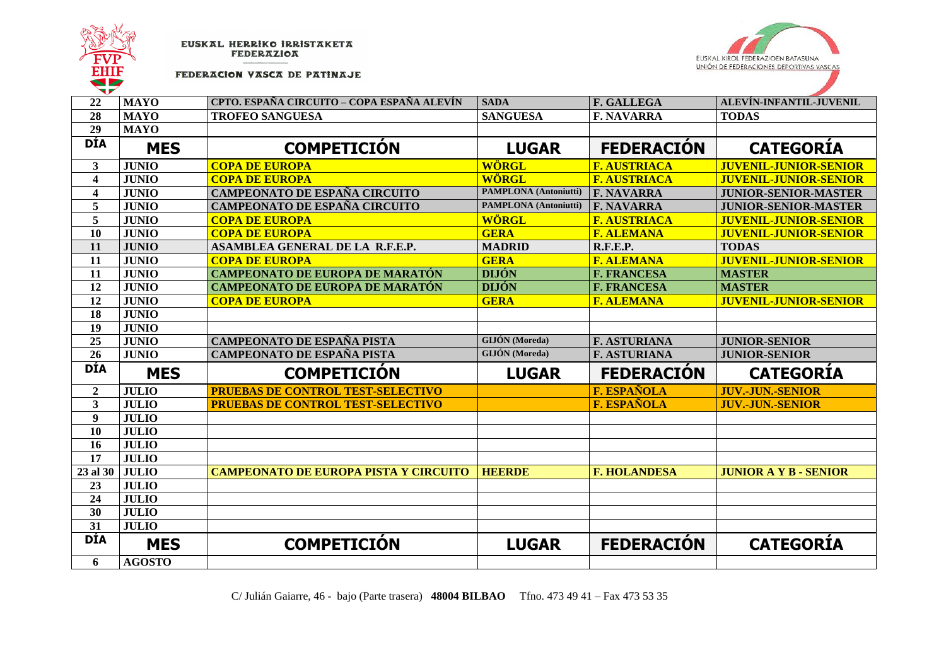



FEDERACION VASCA DE PATINAJE

| 22               | <b>MAYO</b>   | CPTO. ESPAÑA CIRCUITO – COPA ESPAÑA ALEVÍN   | <b>SADA</b>                  | F. GALLEGA          | ALEVÍN-INFANTIL-JUVENIL      |
|------------------|---------------|----------------------------------------------|------------------------------|---------------------|------------------------------|
| 28               | <b>MAYO</b>   | <b>TROFEO SANGUESA</b>                       | <b>SANGUESA</b>              | <b>F. NAVARRA</b>   | <b>TODAS</b>                 |
| 29               | <b>MAYO</b>   |                                              |                              |                     |                              |
| <b>DÍA</b>       | <b>MES</b>    | <b>COMPETICIÓN</b>                           | <b>LUGAR</b>                 | <b>FEDERACIÓN</b>   | <b>CATEGORIA</b>             |
| 3                | <b>JUNIO</b>  | <b>COPA DE EUROPA</b>                        | <b>WÖRGL</b>                 | <b>F. AUSTRIACA</b> | <b>JUVENIL-JUNIOR-SENIOR</b> |
| $\boldsymbol{4}$ | <b>JUNIO</b>  | <b>COPA DE EUROPA</b>                        | <b>WÖRGL</b>                 | <b>F. AUSTRIACA</b> | <b>JUVENIL-JUNIOR-SENIOR</b> |
| 4                | <b>JUNIO</b>  | CAMPEONATO DE ESPAÑA CIRCUITO                | <b>PAMPLONA</b> (Antoniutti) | <b>F. NAVARRA</b>   | <b>JUNIOR-SENIOR-MASTER</b>  |
| 5                | <b>JUNIO</b>  | <b>CAMPEONATO DE ESPAÑA CIRCUITO</b>         | <b>PAMPLONA</b> (Antoniutti) | <b>F. NAVARRA</b>   | <b>JUNIOR-SENIOR-MASTER</b>  |
| 5                | <b>JUNIO</b>  | <b>COPA DE EUROPA</b>                        | <b>WÖRGL</b>                 | <b>F. AUSTRIACA</b> | <b>JUVENIL-JUNIOR-SENIOR</b> |
| 10               | <b>JUNIO</b>  | <b>COPA DE EUROPA</b>                        | <b>GERA</b>                  | <b>F. ALEMANA</b>   | <b>JUVENIL-JUNIOR-SENIOR</b> |
| 11               | <b>JUNIO</b>  | ASAMBLEA GENERAL DE LA R.F.E.P.              | <b>MADRID</b>                | <b>R.F.E.P.</b>     | <b>TODAS</b>                 |
| 11               | <b>JUNIO</b>  | <b>COPA DE EUROPA</b>                        | <b>GERA</b>                  | <b>F. ALEMANA</b>   | <b>JUVENIL-JUNIOR-SENIOR</b> |
| 11               | <b>JUNIO</b>  | <b>CAMPEONATO DE EUROPA DE MARATÓN</b>       | <b>DIJÓN</b>                 | <b>F. FRANCESA</b>  | <b>MASTER</b>                |
| 12               | <b>JUNIO</b>  | <b>CAMPEONATO DE EUROPA DE MARATÓN</b>       | <b>DIJÓN</b>                 | <b>F. FRANCESA</b>  | <b>MASTER</b>                |
| 12               | <b>JUNIO</b>  | <b>COPA DE EUROPA</b>                        | <b>GERA</b>                  | <b>F. ALEMANA</b>   | <b>JUVENIL-JUNIOR-SENIOR</b> |
| 18               | <b>JUNIO</b>  |                                              |                              |                     |                              |
| 19               | <b>JUNIO</b>  |                                              |                              |                     |                              |
| 25               | <b>JUNIO</b>  | <b>CAMPEONATO DE ESPAÑA PISTA</b>            | <b>GIJÓN</b> (Moreda)        | <b>F. ASTURIANA</b> | <b>JUNIOR-SENIOR</b>         |
| 26               | <b>JUNIO</b>  | <b>CAMPEONATO DE ESPAÑA PISTA</b>            | GIJÓN (Moreda)               | <b>F. ASTURIANA</b> | <b>JUNIOR-SENIOR</b>         |
| <b>DÍA</b>       | <b>MES</b>    | <b>COMPETICIÓN</b>                           | <b>LUGAR</b>                 | <b>FEDERACIÓN</b>   | <b>CATEGORÍA</b>             |
| $\overline{2}$   | <b>JULIO</b>  | <b>PRUEBAS DE CONTROL TEST-SELECTIVO</b>     |                              | <b>F. ESPAÑOLA</b>  | <b>JUV.-JUN.-SENIOR</b>      |
| 3                | <b>JULIO</b>  | <b>PRUEBAS DE CONTROL TEST-SELECTIVO</b>     |                              | <b>F. ESPAÑOLA</b>  | <b>JUV.-JUN.-SENIOR</b>      |
| $\boldsymbol{9}$ | <b>JULIO</b>  |                                              |                              |                     |                              |
| 10               | <b>JULIO</b>  |                                              |                              |                     |                              |
| 16               | <b>JULIO</b>  |                                              |                              |                     |                              |
| 17               | <b>JULIO</b>  |                                              |                              |                     |                              |
| 23 al 30         | <b>JULIO</b>  | <b>CAMPEONATO DE EUROPA PISTA Y CIRCUITO</b> | <b>HEERDE</b>                | <b>F. HOLANDESA</b> | <b>JUNIOR A Y B - SENIOR</b> |
| 23               | <b>JULIO</b>  |                                              |                              |                     |                              |
| 24               | <b>JULIO</b>  |                                              |                              |                     |                              |
| 30               | <b>JULIO</b>  |                                              |                              |                     |                              |
| $\overline{31}$  | <b>JULIO</b>  |                                              |                              |                     |                              |
| <b>DÍA</b>       | <b>MES</b>    | <b>COMPETICIÓN</b>                           | <b>LUGAR</b>                 | <b>FEDERACIÓN</b>   | <b>CATEGORÍA</b>             |
| 6                | <b>AGOSTO</b> |                                              |                              |                     |                              |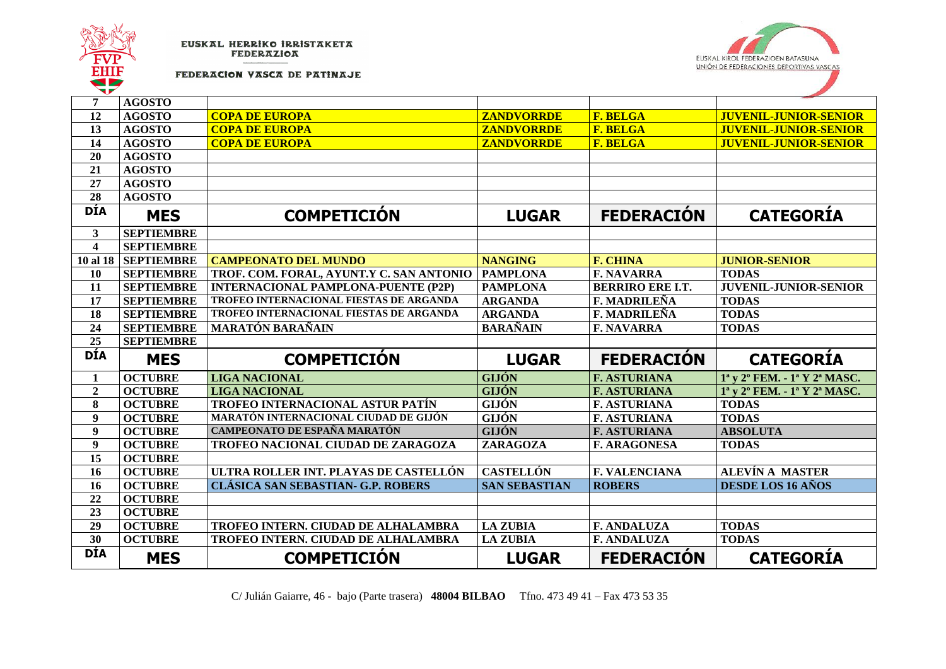



FEDERACION VASCA DE PATINAJE

| 7                             | <b>AGOSTO</b>     |                                            |                      |                                    |                                                                              |
|-------------------------------|-------------------|--------------------------------------------|----------------------|------------------------------------|------------------------------------------------------------------------------|
| 12                            | <b>AGOSTO</b>     | <b>COPA DE EUROPA</b>                      | <b>ZANDVORRDE</b>    | <b>F. BELGA</b><br><b>F. BELGA</b> | <b>JUVENIL-JUNIOR-SENIOR</b>                                                 |
| 13                            | <b>AGOSTO</b>     | <b>COPA DE EUROPA</b>                      | <b>ZANDVORRDE</b>    |                                    | <b>JUVENIL-JUNIOR-SENIOR</b>                                                 |
| 14                            | <b>AGOSTO</b>     | <b>COPA DE EUROPA</b>                      | <b>ZANDVORRDE</b>    | <b>F. BELGA</b>                    | <b>JUVENIL-JUNIOR-SENIOR</b>                                                 |
| 20                            | <b>AGOSTO</b>     |                                            |                      |                                    |                                                                              |
| 21                            | <b>AGOSTO</b>     |                                            |                      |                                    |                                                                              |
| 27<br>$\overline{28}$         | <b>AGOSTO</b>     |                                            |                      |                                    |                                                                              |
|                               | <b>AGOSTO</b>     |                                            |                      |                                    |                                                                              |
| <b>DÍA</b>                    | <b>MES</b>        | <b>COMPETICIÓN</b>                         | <b>LUGAR</b>         | <b>FEDERACIÓN</b>                  | <b>CATEGORÍA</b>                                                             |
| $\overline{\mathbf{3}}$       | <b>SEPTIEMBRE</b> |                                            |                      |                                    |                                                                              |
| $\overline{\mathbf{4}}$       | <b>SEPTIEMBRE</b> |                                            |                      |                                    |                                                                              |
| 10 al 18                      | <b>SEPTIEMBRE</b> | <b>CAMPEONATO DEL MUNDO</b>                | <b>NANGING</b>       | <b>F. CHINA</b>                    | <b>JUNIOR-SENIOR</b>                                                         |
| 10                            | <b>SEPTIEMBRE</b> | TROF. COM. FORAL, AYUNT.Y C. SAN ANTONIO   | <b>PAMPLONA</b>      | <b>F. NAVARRA</b>                  | <b>TODAS</b>                                                                 |
| 11                            | <b>SEPTIEMBRE</b> | <b>INTERNACIONAL PAMPLONA-PUENTE (P2P)</b> | <b>PAMPLONA</b>      | <b>BERRIRO ERE I.T.</b>            | <b>JUVENIL-JUNIOR-SENIOR</b>                                                 |
| 17                            | <b>SEPTIEMBRE</b> | TROFEO INTERNACIONAL FIESTAS DE ARGANDA    | <b>ARGANDA</b>       | <b>F. MADRILEÑA</b>                | <b>TODAS</b>                                                                 |
| 18                            | <b>SEPTIEMBRE</b> | TROFEO INTERNACIONAL FIESTAS DE ARGANDA    | <b>ARGANDA</b>       | <b>F. MADRILEÑA</b>                | <b>TODAS</b>                                                                 |
| 24                            | <b>SEPTIEMBRE</b> | <b>MARATÓN BARAÑAIN</b>                    | <b>BARAÑAIN</b>      | <b>F. NAVARRA</b>                  | <b>TODAS</b>                                                                 |
| 25                            | <b>SEPTIEMBRE</b> |                                            |                      |                                    |                                                                              |
|                               |                   |                                            |                      |                                    |                                                                              |
| <b>DÍA</b>                    | <b>MES</b>        | <b>COMPETICIÓN</b>                         | <b>LUGAR</b>         | <b>FEDERACIÓN</b>                  | <b>CATEGORIA</b>                                                             |
| 1                             | <b>OCTUBRE</b>    | <b>LIGA NACIONAL</b>                       | <b>GIJÓN</b>         | <b>F. ASTURIANA</b>                | 1 <sup>a</sup> y 2 <sup>o</sup> FEM. - 1 <sup>a</sup> Y 2 <sup>a</sup> MASC. |
| $\boldsymbol{2}$              | <b>OCTUBRE</b>    | <b>LIGA NACIONAL</b>                       | <b>GIJÓN</b>         | <b>F. ASTURIANA</b>                | 1 <sup>a</sup> y 2 <sup>o</sup> FEM. - 1 <sup>a</sup> Y 2 <sup>a</sup> MASC. |
| 8                             | <b>OCTUBRE</b>    | TROFEO INTERNACIONAL ASTUR PATÍN           | <b>GIJÓN</b>         | <b>F. ASTURIANA</b>                | <b>TODAS</b>                                                                 |
| 9                             | <b>OCTUBRE</b>    | MARATÓN INTERNACIONAL CIUDAD DE GIJÓN      | <b>GIJÓN</b>         | <b>F. ASTURIANA</b>                | <b>TODAS</b>                                                                 |
| 9                             | <b>OCTUBRE</b>    | <b>CAMPEONATO DE ESPAÑA MARATÓN</b>        | <b>GIJÓN</b>         | <b>F. ASTURIANA</b>                | <b>ABSOLUTA</b>                                                              |
| 9                             | <b>OCTUBRE</b>    | TROFEO NACIONAL CIUDAD DE ZARAGOZA         | ZARAGOZA             | <b>F. ARAGONESA</b>                | <b>TODAS</b>                                                                 |
| 15                            | <b>OCTUBRE</b>    |                                            |                      |                                    |                                                                              |
| 16                            | <b>OCTUBRE</b>    | ULTRA ROLLER INT. PLAYAS DE CASTELLÓN      | <b>CASTELLÓN</b>     | <b>F. VALENCIANA</b>               | <b>ALEVÍN A MASTER</b>                                                       |
| 16                            | <b>OCTUBRE</b>    | <b>CLÁSICA SAN SEBASTIAN- G.P. ROBERS</b>  | <b>SAN SEBASTIAN</b> | <b>ROBERS</b>                      | DESDE LOS 16 AÑOS                                                            |
| 22                            | <b>OCTUBRE</b>    |                                            |                      |                                    |                                                                              |
| 23                            | <b>OCTUBRE</b>    |                                            |                      |                                    |                                                                              |
| $\overline{29}$               | <b>OCTUBRE</b>    | TROFEO INTERN. CIUDAD DE ALHALAMBRA        | <b>LA ZUBIA</b>      | <b>F. ANDALUZA</b>                 | <b>TODAS</b>                                                                 |
| $\overline{30}$<br><b>DÍA</b> | <b>OCTUBRE</b>    | TROFEO INTERN. CIUDAD DE ALHALAMBRA        | <b>LA ZUBIA</b>      | <b>F. ANDALUZA</b>                 | <b>TODAS</b>                                                                 |